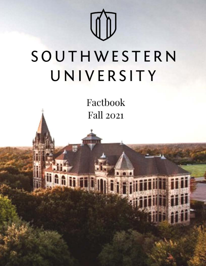

# SOUTHWESTERN UNIVERSITY

Factbook **Fall 2021** 

**MARA**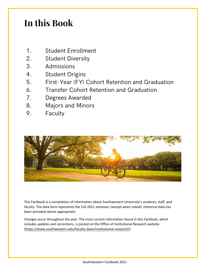# **In this Book**

- 1. Student Enrollment
- 2. Student Diversity
- 3. Admissions
- 4. Student Origins
- 5. First-Year (FY) Cohort Retention and Graduation
- 6. Transfer Cohort Retention and Graduation
- 7. Degrees Awarded
- 8. Majors and Minors
- 9. Faculty



This Factbook is a compilation of information about Southwestern University's students, staff, and faculty. The data here represents the Fall 2021 semester (except when noted). Historical data has been provided where appropriate.

Changes occur throughout the year. The most current information found in this Factbook, which includes updates and corrections, is posted on the Office of Institutional Research website [\(https://www.southwestern.edu/faculty-dean/institutional-research/\)](https://www.southwestern.edu/faculty-dean/institutional-research/).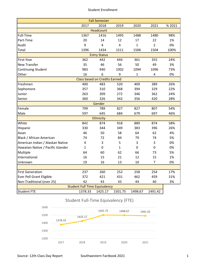#### Student Enrollment

|                                    |                                      | <b>Fall Semester</b>                 |              |              |                |        |
|------------------------------------|--------------------------------------|--------------------------------------|--------------|--------------|----------------|--------|
|                                    | 2017                                 | 2018                                 | 2019         | 2020         | 2021           | % 2021 |
|                                    |                                      | <b>Headcount</b>                     |              |              |                |        |
| Full-Time                          | 1367                                 | 1416                                 | 1495         | 1488         | 1480           | 98%    |
| Part-Time                          | 20                                   | 14                                   | 12           | 17           | 22             | 1%     |
| Audit                              | 9                                    | 4                                    | 4            | $\mathbf{1}$ | $\overline{2}$ | 0%     |
| Total                              | 1396                                 | 1434                                 | 1511         | 1506         | 1504           | 100%   |
|                                    |                                      | <b>Entry Status</b>                  |              |              |                |        |
| First-Year                         | 362                                  | 442                                  | 444          | 361          | 355            | 24%    |
| <b>New Transfer</b>                | 35                                   | 46                                   | 56           | 50           | 49             | 3%     |
| Continuing Student                 | 983                                  | 940                                  | 1002         | 1094         | 1096           | 73%    |
| Other                              | 16                                   | 6                                    | 9            | $\mathbf{1}$ | 4              | 0%     |
|                                    |                                      | <b>Class based on Credits Earned</b> |              |              |                |        |
| Freshmen                           | 400                                  | 483                                  | 520          | 409          | 389            | 26%    |
| Sophomore                          | 357                                  | 310                                  | 368          | 394          | 329            | 22%    |
| Junior                             | 263                                  | 309                                  | 272          | 346          | 362            | 24%    |
| Senior                             | 360                                  | 326                                  | 342          | 356          | 420            | 28%    |
|                                    |                                      | Gender                               |              |              |                |        |
| Female                             | 799                                  | 789                                  | 827          | 827          | 807            | 54%    |
| Male                               | 597                                  | 645                                  | 684          | 679          | 697            | 46%    |
|                                    |                                      | <b>Ethnicity</b>                     |              |              |                |        |
| White                              | 842                                  | 874                                  | 918          | 889          | 874            | 58%    |
| Hispanic                           | 330                                  | 344                                  | 349          | 383          | 396            | 26%    |
| Asian                              | 46                                   | 50                                   | 58           | 64           | 62             | 4%     |
| Black / African American           | 74                                   | 72                                   | 84           | 79           | 74             | 5%     |
| American Indian / Alaskan Native   | 4                                    | 3                                    | 5            | 3            | 3              | 0%     |
| Hawaiian Native / Pacific Islander | $\mathbf{1}$                         | 0                                    | $\mathbf{1}$ | 0            | 0              | 0%     |
| Multiple                           | 64                                   | 60                                   | 62           | 66           | 73             | 5%     |
| International                      | 16                                   | 15                                   | 21           | 12           | 15             | 1%     |
| Unknown                            | 19                                   | 16                                   | 13           | 10           | 7              | 0%     |
|                                    |                                      |                                      |              |              |                |        |
| <b>First Generation</b>            | 237                                  | 260                                  | 252          | 258          | 254            | 17%    |
| <b>Ever Pell Grant Eligible</b>    | 372                                  | 421                                  | 431          | 462          | 459            | 31%    |
| Non-Traditional (over 25)          | 42                                   | 43                                   | 43           | 44           | 40             | 3%     |
|                                    | <b>Student Full Time Equivalency</b> |                                      |              |              |                |        |
| <b>Student FTE</b>                 | 1378.33                              | 1425.17                              | 1501.75      | 1498.67      | 1491.42        |        |

# 1378.33 1425.17 1501.75 1498.67 1491.42 1200 1300 1400 1500 1600 2017 2018 2019 2020 2021 Student Full-Time Equivalency (FTE)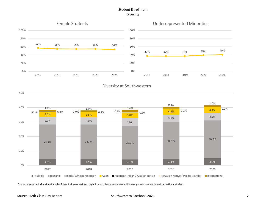# Student Enrollment Diversity



# Diversity at Southwestern



\*Underrepresented Minorities includes Asian, African American, Hispanic, and other non-white non-Hispanic populations; excludes international students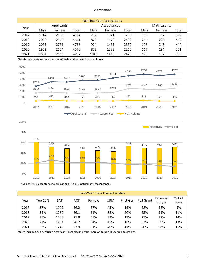#### Admissions

|      | <b>Fall First-Year Applications</b> |        |       |      |             |       |      |                     |       |  |  |
|------|-------------------------------------|--------|-------|------|-------------|-------|------|---------------------|-------|--|--|
| Year | Applicants                          |        |       |      | Acceptances |       |      | <b>Matriculants</b> |       |  |  |
|      | Male                                | Female | Total | Male | Female      | Total | Male | Female              | Total |  |  |
| 2017 | 1744                                | 2389   | 4134  | 712  | 1071        | 1783  | 165  | 197                 | 362   |  |  |
| 2018 | 2036                                | 2515   | 4551  | 879  | 1170        | 2409  | 216  | 226                 | 442   |  |  |
| 2019 | 2035                                | 2731   | 4766  | 904  | 1433        | 2337  | 198  | 246                 | 444   |  |  |
| 2020 | 1952                                | 2624   | 4578  | 872  | 1388        | 2260  | 167  | 194                 | 361   |  |  |
| 2021 | 2094                                | 2663   | 4757  | 1018 | 1410        | 2428  | 173  | 182                 | 355   |  |  |

\*totals may be more than the sum of male and female due to unkown





\* Selectivity is acceptances/applications, Yield is matriculants/acceptances

|      | <b>First-Year Class Characteristics</b> |            |            |        |     |           |            |          |        |  |  |  |  |
|------|-----------------------------------------|------------|------------|--------|-----|-----------|------------|----------|--------|--|--|--|--|
| Year | Top 10%                                 | <b>SAT</b> | <b>ACT</b> | Female | URM | First Gen | Pell Grant | Received | Out of |  |  |  |  |
|      |                                         |            |            |        |     |           |            | SU Aid   | State  |  |  |  |  |
| 2017 | 37%                                     | 1207       | 26.2       | 57%    | 45% | 19%       | 28%        | 98%      | 9%     |  |  |  |  |
| 2018 | 34%                                     | 1230       | 26.1       | 51%    | 38% | 20%       | 25%        | 99%      | 11%    |  |  |  |  |
| 2019 | 35%                                     | 1233       | 25.9       | 55%    | 39% | 13%       | 25%        | 98%      | 14%    |  |  |  |  |
| 2020 | 27%                                     | 1204       | 26.2       | 54%    | 48% | 18%       | 33%        | 99%      | 13%    |  |  |  |  |
| 2021 | 28%                                     | 1243       | 27.9       | 51%    | 40% | 17%       | 26%        | 98%      | 15%    |  |  |  |  |

\*URM includes Asian, African American, Hispanic, and other non-white non-Hispanic populations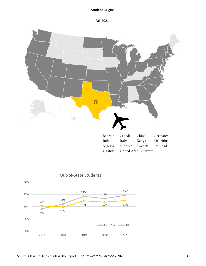# Student Origins

Fall 2021



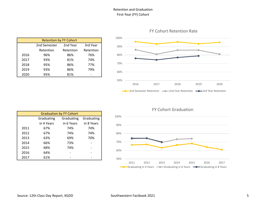# Retention and Graduation First-Year (FY) Cohort

|      | <b>Retention by FY Cohort</b> |           |           |
|------|-------------------------------|-----------|-----------|
|      | 2nd Semester                  | 2nd Year  | 3rd Year  |
|      | Retention                     | Retention | Retention |
| 2016 | 96%                           | 86%       | 76%       |
| 2017 | 93%                           | 81%       | 74%       |
| 2018 | 95%                           | 86%       | 77%       |
| 2019 | 93%                           | 86%       | 79%       |
| 2020 | 95%                           | 81%       |           |

FY Cohort Retention Rate



# FY Cohort Graduation

|      |            | <b>Graduation by FY Cohort</b> |            |
|------|------------|--------------------------------|------------|
|      | Graduating | Graduating                     | Graduating |
|      | in 4 Years | in 6 Years                     | in 8 Years |
| 2011 | 67%        | 74%                            | 74%        |
| 2012 | 67%        | 74%                            | 74%        |
| 2013 | 63%        | 69%                            | 70%        |
| 2014 | 66%        | 73%                            |            |
| 2015 | 68%        | 74%                            |            |
| 2016 | 64%        |                                |            |
| 2017 | 61%        |                                |            |

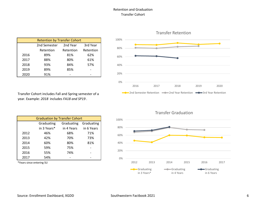# Retention and Graduation Transfer Cohort

|      | <b>Retention by Transfer Cohort</b> |           |           |  |  |  |  |  |  |
|------|-------------------------------------|-----------|-----------|--|--|--|--|--|--|
|      | 2nd Semester                        | 2nd Year  | 3rd Year  |  |  |  |  |  |  |
|      | Retention                           | Retention | Retention |  |  |  |  |  |  |
| 2016 | 89%                                 | 81%       | 62%       |  |  |  |  |  |  |
| 2017 | 88%                                 | 80%       | 61%       |  |  |  |  |  |  |
| 2018 | 93%                                 | 84%       | 57%       |  |  |  |  |  |  |
| 2019 | 89%                                 | 85%       |           |  |  |  |  |  |  |
| 2020 | 91%                                 |           |           |  |  |  |  |  |  |

Transfer Cohort includes Fall and Spring semester of a year. Example: *2018* includes *FA18 and SP19* .

|      | <b>Graduation by Transfer Cohort</b> |            |            |
|------|--------------------------------------|------------|------------|
|      | Graduating                           | Graduating | Graduating |
|      | in 3 Years*                          | in 4 Years | in 6 Years |
| 2012 | 46%                                  | 68%        | 71%        |
| 2013 | 42%                                  | 70%        | 73%        |
| 2014 | 60%                                  | 80%        | 81%        |
| 2015 | 59%                                  | 75%        |            |
| 2016 | 55%                                  | 74%        |            |
| 2017 | 54%                                  |            |            |

\*Years since entering SU



Transfer Graduation

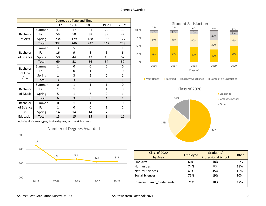|                        |        |              | Degrees by Type and Time |              |                |                |
|------------------------|--------|--------------|--------------------------|--------------|----------------|----------------|
|                        |        | $16 - 17$    | 17-18                    | 18-19        | 19-20          | $20 - 21$      |
|                        | Summer | 41           | 17                       | 21           | 22             | 19             |
| Bachelor               | Fall   | 59           | 50                       | 38           | 39             | 47             |
| of Arts                | Spring | 234          | 179                      | 188          | 186            | 177            |
|                        | Total  | 334          | 246                      | 247          | 247            | 243            |
|                        | Summer | 3            | 5                        | 6            | 0              | $\mathbf{1}$   |
| Bachelor<br>of Science | Fall   | 16           | 9                        | 8            | 5              | 6              |
|                        | Spring | 50           | 44                       | 42           | 49             | 52             |
|                        | Total  | 69           | 58                       | 56           | 54             | 59             |
| Bachelor               | Summer | $\mathbf{1}$ | 0                        | 0            | 0              | 0              |
|                        | Fall   | 1            | 0                        | $\mathbf{1}$ | 0              | 0              |
| of Fine                | Spring | 1            | 3                        | 5            | 0              | $\mathbf{1}$   |
| Arts                   | Total  | 3            | 3                        | 6            | 0              | $\mathbf{1}$   |
|                        | Summer | 0            | $\mathbf{1}$             | $\mathbf{1}$ | $\mathbf{1}$   | 0              |
| <b>Bachelor</b>        | Fall   | 1            | 1                        | 0            | 1              | 0              |
| of Music               | Spring | 5            | 1                        | 7            | $\overline{2}$ | $\mathbf{1}$   |
|                        | Total  | 6            | 3                        | 8            | 4              | $\mathbf{1}$   |
| Bachelor               | Summer | $\Omega$     | $\mathbf{1}$             | 1            | 0              | 0              |
| of Science             | Fall   | 1            | 0                        | 0            | 1              | $\mathfrak{p}$ |
| in                     | Spring | 14           | 14                       | 14           | 7              | 9              |
| Education              | Total  | 15           | 15                       | 15           | 8              | 11             |

Includes all degrees types, double degrees, and multiple majors









| Class of 2020<br>by Area       | Employed | Graduate/<br><b>Professional School</b> | Other |
|--------------------------------|----------|-----------------------------------------|-------|
| <b>Fine Arts</b>               | 60%      | 10%                                     | 30%   |
| Humanities                     | 74%      | 8%                                      | 18%   |
| Natural Sciences               | 40%      | 45%                                     | 15%   |
| Social Sciences                | 71%      | 19%                                     | 10%   |
| Interdisciplinary/ Independent | 71%      | 18%                                     | 12%   |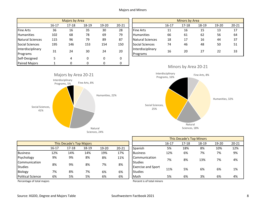|                               |           | Majors by Area |           |           |           |                               |         | Minors by Area |                      |       |          |
|-------------------------------|-----------|----------------|-----------|-----------|-----------|-------------------------------|---------|----------------|----------------------|-------|----------|
|                               | $16 - 17$ | $17 - 18$      | $18 - 19$ | $19 - 20$ | $20 - 21$ |                               | $16-17$ | $17 - 18$      | 18-19                | 19-20 | $20 - 2$ |
| <b>Fine Arts</b>              | 36        | 16             | 35        | 30        | 28        | <b>Fine Arts</b>              | 11      | 16             | 15                   | 13    | 17       |
| <b>Humanities</b>             | 102       | 68             | 78        | 69        | 79        | <b>Humanities</b>             | 66      | 61             | 62                   | 56    | 64       |
| Natural Sciences              | 115       | 96             | 79        | 89        | 87        | Natural Sciences              | 18      | 17             | 16                   | 44    | 37       |
| Social Sciences               | 195       | 146            | 153       | 154       | 150       | Social Sciences               | 74      | 46             | 48                   | 50    | 51       |
| Interdisciplinary<br>Programs | 31        | 24             | 30        | 24        | 20        | Interdisciplinary<br>Programs | 16      | 20             | 27                   | 22    | 33       |
| Self-Designed                 | 5         | 4              | 0         | 0         | 0         |                               |         |                |                      |       |          |
| <b>Paired Majors</b>          |           | 0              |           | 0         |           |                               | A       | $\mathbf{A}$   | $\sim$ $\sim$ $\sim$ |       |          |

|       | Majors by Area |       |           |           |                               | <b>Minors by Area</b> |           |       |       |           |  |  |
|-------|----------------|-------|-----------|-----------|-------------------------------|-----------------------|-----------|-------|-------|-----------|--|--|
| 16-17 | $17 - 18$      | 18-19 | $19 - 20$ | $20 - 21$ |                               | $16 - 17$             | $17 - 18$ | 18-19 | 19-20 | $20 - 21$ |  |  |
| 36    | 16             | 35    | 30        | 28        | <b>Fine Arts</b>              | 11                    | 16        | 15    | 13    | 17        |  |  |
| 102   | 68             | 78    | 69        | 79        | <b>Humanities</b>             | 66                    | 61        | 62    | 56    | 64        |  |  |
| 115   | 96             | 79    | 89        | 87        | Natural Sciences              | 18                    | 17        | 16    | 44    | 37        |  |  |
| 195   | 146            | 153   | 154       | 150       | <b>Social Sciences</b>        | 74                    | 46        | 48    | 50    | 51        |  |  |
| 31    | 24             | 30    | 24        | 20        | Interdisciplinary<br>Programs | 16                    | 20        | 27    | 22    | 33        |  |  |







|                          |           |                                 |       |       |           |                           |           | <b>THIS DECADE STOP INTITIONS</b> |       |       |          |
|--------------------------|-----------|---------------------------------|-------|-------|-----------|---------------------------|-----------|-----------------------------------|-------|-------|----------|
|                          |           | <b>This Decade's Top Majors</b> |       |       |           |                           | $16 - 17$ | $17 - 18$                         | 18-19 | 19-20 | $20 - 2$ |
|                          | $16 - 17$ | 17-18                           | 18-19 | 19-20 | $20 - 21$ | <b>Spanish</b>            | 5%        | 18%                               | 8%    | 10%   | 129      |
| <b>Business</b>          | 12%       | 14%                             | 14%   | 19%   | 17%       | Business                  | 12%       | 6%                                | 7%    | 7%    | 9%       |
| Psychology               | 9%        | 9%                              | 8%    | 8%    | 11%       | Communication             | 7%        | 8%                                | 13%   | 7%    | 4%       |
| Communication            |           |                                 |       |       |           | Studies                   |           |                                   |       |       |          |
| <b>Studies</b>           | 8%        | 9%                              | 8%    | 7%    | 8%        | <b>Exercise and Sport</b> |           |                                   |       |       |          |
| Biology                  | 7%        | 8%                              | 7%    | 6%    | 6%        | Studies                   | 11%       | 5%                                | 6%    | 6%    | 1%       |
| <b>Political Science</b> | 6%        | 5%                              | 5%    | 6%    | 6%        | <b>Math</b>               | 5%        | 6%                                | 3%    | 6%    | 4%       |

Percentage of total majors **Percent is of total minors** Percent is of total minors

16-17 17-18 18-19 19-20 20-21 16-17 17-18 18-19 19-20 20-21 Spanish 5% 18% 8% 10% 12% This Decade's Top Minors Communication Studies<br>Exercise and Sport Studies 6% 7% 11% 5% 6% 1% 4%